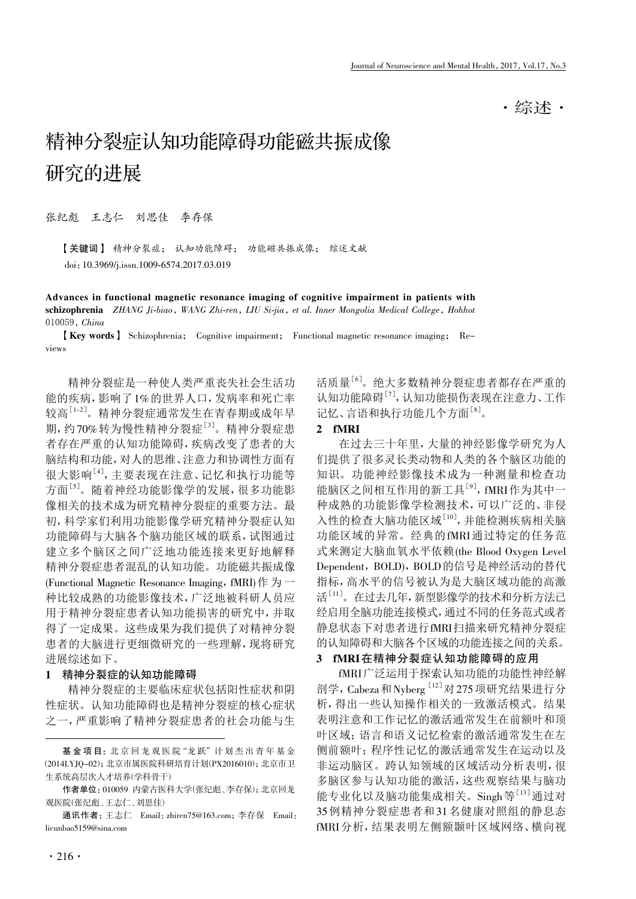·综述·

# 精神分裂症认知功能障碍功能磁共振成像 研究的进展

张纪彪 王志仁 刘思佳 李存保

【关键词】 精神分裂症; 认知功能障碍; 功能磁共振成像; 综述文献 doi:10.3969/j.issn.1009-6574.2017.03.019

Advances in functional magnetic resonance imaging of cognitive impairment in patients with schizophrenia ZHANG Ji-biao, WANG Zhi-ren, LIU Si-jia, et al. Inner Mongolia Medical College, Hohhot 010059, China

【Key words】 Schizophrenia; Cognitive impairment; Functional magnetic resonance imaging; Reviews

精神分裂症是一种使人类严重丧失社会生活功 能的疾病,影响了1%的世界人口,发病率和死亡率 较高<sup>[1-2]</sup>。精神分裂症通常发生在青春期或成年早 期, 约70%转为慢性精神分裂症<sup>[3]</sup>。精神分裂症患 者存在严重的认知功能障碍,疾病改变了患者的大 脑结构和功能,对人的思维、注意力和协调性方面有 很大影响[4] ,主要表现在注意、记忆和执行功能等 方面[5] 。随着神经功能影像学的发展,很多功能影 像相关的技术成为研究精神分裂症的重要方法。最 初,科学家们利用功能影像学研究精神分裂症认知 功能障碍与大脑各个脑功能区域的联系,试图通过 建立多个脑区之间广泛地功能连接来更好地解释 精神分裂症患者混乱的认知功能。功能磁共振成像 (Functional Magnetic Resonance Imaging, fMRI)作为一 种比较成熟的功能影像技术,广泛地被科研人员应 用于精神分裂症患者认知功能损害的研究中,并取 得了一定成果。这些成果为我们提供了对精神分裂 患者的大脑进行更细微研究的一些理解,现将研究 进展综述如下。

## 1 精神分裂症的认知功能障碍

精神分裂症的主要临床症状包括阳性症状和阴 性症状。认知功能障碍也是精神分裂症的核心症状 之一,严重影响了精神分裂症患者的社会功能与生

活质量<sup>[6]</sup>。绝大多数精神分裂症患者都存在严重的 认知功能障碍<sup>[7]</sup>, 认知功能损伤表现在注意力、工作 记忆、言语和执行功能几个方面[8]。

# 2 fMRI

在过去三十年里,大量的神经影像学研究为人 们提供了很多灵长类动物和人类的各个脑区功能的 知识。功能神经影像技术成为一种测量和检查功 能脑区之间相互作用的新工具<sup>[9]</sup>, fMRI作为其中一 种成熟的功能影像学检测技术,可以广泛的、非侵 入性的检查大脑功能区域[10],并能检测疾病相关脑 功能区域的异常。经典的fMRI通过特定的任务范 式来测定大脑血氧水平依赖(the Blood Oxygen Level Dependent, BOLD), BOLD 的信号是神经活动的替代 指标,高水平的信号被认为是大脑区域功能的高激 活<sup>[11]</sup>。在过去几年,新型影像学的技术和分析方法已 经启用全脑功能连接模式,通过不同的任务范式或者 静息状态下对患者进行fMRI扫描来研究精神分裂症 的认知障碍和大脑各个区域的功能连接之间的关系。

#### 3 fMRI在精神分裂症认知功能障碍的应用

fMRI广泛运用于探索认知功能的功能性神经解 剖学, Cabeza和Nyberg [12] 对 275 项研究结果进行分 析,得出一些认知操作相关的一致激活模式。结果 表明注意和工作记忆的激活通常发生在前额叶和顶 叶区域;语言和语义记忆检索的激活通常发生在左 侧前额叶;程序性记忆的激活通常发生在运动以及 非运动脑区。跨认知领域的区域活动分析表明,很 多脑区参与认知功能的激活,这些观察结果与脑功 能专业化以及脑功能集成相关。Singh等<sup>[13]</sup>通过对 35例精神分裂症患者和31名健康对照组的静息态 fMRI分析,结果表明左侧额颞叶区域网络、横向视

基金项目: 北京回龙观医院"龙跃" 计划杰出青年基金 (2014LYJQ-02);北京市属医院科研培育计划(PX2016010);北京市卫 生系统高层次人才培养(学科骨干)

作者单位:010059 内蒙古医科大学(张纪彪、李存保);北京回龙 观医院(张纪彪、王志仁、刘思佳)

通讯作者:王志仁 Email:zhiren75@163.com;李存保 Email: licunbao5159@sina.com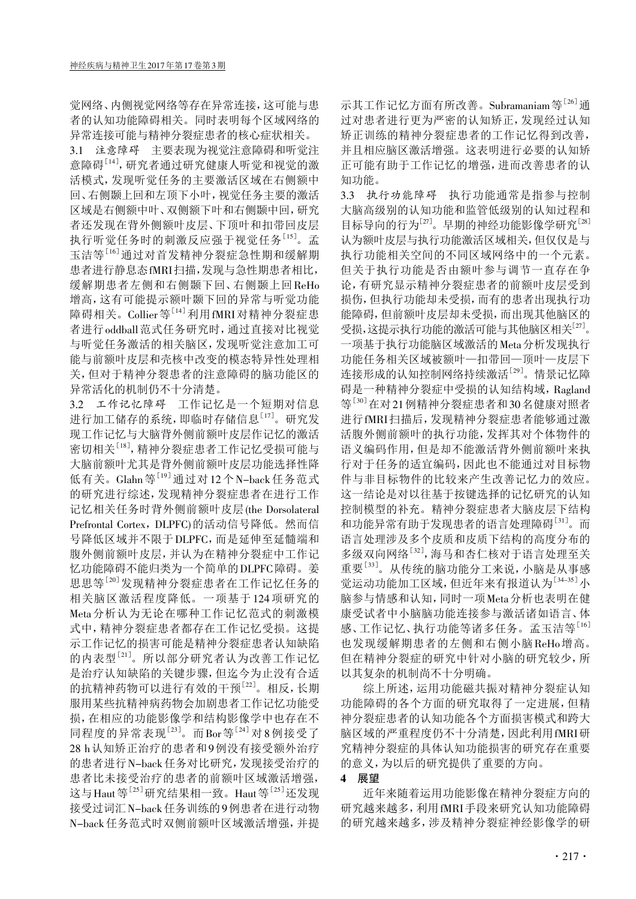觉网络、内侧视觉网络等存在异常连接,这可能与患 者的认知功能障碍相关。同时表明每个区域网络的 异常连接可能与精神分裂症患者的核心症状相关。

3.1 注意障碍 主要表现为视觉注意障碍和听觉注 意障碍<sup>[14]</sup>, 研究者通过研究健康人听觉和视觉的激 活模式,发现听觉任务的主要激活区域在右侧额中 回、右侧颞上回和左顶下小叶,视觉任务主要的激活 区域是右侧额中叶、双侧额下叶和右侧颞中回,研究 者还发现在背外侧额叶皮层、下顶叶和扣带回皮层 执行听觉任务时的刺激反应强于视觉任务[15] 。孟 玉洁等[16] 通过对首发精神分裂症急性期和缓解期 患者进行静息态fMRI扫描,发现与急性期患者相比, 缓解期患者左侧和右侧颞下回、右侧颞上回ReHo 增高,这有可能提示额叶颞下回的异常与听觉功能 障碍相关。Collier等<sup>[14]</sup>利用fMRI对精神分裂症患 者进行oddball范式任务研究时,通过直接对比视觉 与听觉任务激活的相关脑区,发现听觉注意加工可 能与前额叶皮层和壳核中改变的模态特异性处理相 关,但对于精神分裂患者的注意障碍的脑功能区的 异常活化的机制仍不十分清楚。

3.2 工作记忆障碍 工作记忆是一个短期对信息 进行加工储存的系统,即临时存储信息[17]。研究发 现工作记忆与大脑背外侧前额叶皮层作记忆的激活 密切相关<sup>[18]</sup>, 精神分裂症患者工作记忆受损可能与 大脑前额叶尤其是背外侧前额叶皮层功能选择性降 低有关。Glahn等[19]通过对12个N-back任务范式 的研究进行综述,发现精神分裂症患者在进行工作 记忆相关任务时背外侧前额叶皮层(the Dorsolateral Prefrontal Cortex, DLPFC)的活动信号降低。然而信 号降低区域并不限于DLPFC,而是延伸至延髓端和 腹外侧前额叶皮层,并认为在精神分裂症中工作记 忆功能障碍不能归类为一个简单的DLPFC障碍。姜 思思等[20] 发现精神分裂症患者在工作记忆任务的 相关脑区激活程度降低。一项基于124项研究的 Meta分析认为无论在哪种工作记忆范式的刺激模 式中,精神分裂症患者都存在工作记忆受损。这提 示工作记忆的损害可能是精神分裂症患者认知缺陷 的内表型[21] 。所以部分研究者认为改善工作记忆 是治疗认知缺陷的关键步骤,但迄今为止没有合适 的抗精神药物可以进行有效的干预[22]。相反,长期 服用某些抗精神病药物会加剧患者工作记忆功能受 损,在相应的功能影像学和结构影像学中也存在不 同程度的异常表现<sup>[23]</sup>。而Bor等<sup>[24]</sup>对8例接受了 28 h认知矫正治疗的患者和9例没有接受额外治疗 的患者进行N-back任务对比研究,发现接受治疗的 患者比未接受治疗的患者的前额叶区域激活增强, 这与Haut等<sup>[25]</sup>研究结果相一致。Haut等<sup>[25]</sup>还发现 接受过词汇N-back任务训练的9例患者在进行动物 N-back任务范式时双侧前额叶区域激活增强,并提

示其工作记忆方面有所改善。Subramaniam等<sup>[26]</sup>通 过对患者进行更为严密的认知矫正,发现经过认知 矫正训练的精神分裂症患者的工作记忆得到改善, 并且相应脑区激活增强。这表明进行必要的认知矫 正可能有助于工作记忆的增强,进而改善患者的认 知功能。

3.3 执行功能障碍 执行功能通常是指参与控制 大脑高级别的认知功能和监管低级别的认知过程和 目标导向的行为<sup>[27]</sup>。早期的神经功能影像学研究<sup>[28]</sup> 认为额叶皮层与执行功能激活区域相关,但仅仅是与 执行功能相关空间的不同区域网络中的一个元素。 但关于执行功能是否由额叶参与调节一直存在争 论,有研究显示精神分裂症患者的前额叶皮层受到 损伤,但执行功能却未受损,而有的患者出现执行功 能障碍,但前额叶皮层却未受损,而出现其他脑区的 受损,这提示执行功能的激活可能与其他脑区相关[27] 。 一项基于执行功能脑区域激活的Meta分析发现执行 功能任务相关区域被额叶—扣带回—顶叶—皮层下 连接形成的认知控制网络持续激活<sup>[29]</sup>。情景记忆障 碍是一种精神分裂症中受损的认知结构域,Ragland 等<sup>[30]</sup>在对21例精神分裂症患者和30名健康对照者 进行fMRI扫描后,发现精神分裂症患者能够通过激 活腹外侧前额叶的执行功能,发挥其对个体物件的 语义编码作用,但是却不能激活背外侧前额叶来执 行对于任务的适宜编码,因此也不能通过对目标物 件与非目标物件的比较来产生改善记忆力的效应。 这一结论是对以往基于按键选择的记忆研究的认知 控制模型的补充。精神分裂症患者大脑皮层下结构 和功能异常有助于发现患者的语言处理障碍[31] 。而 语言处理涉及多个皮质和皮质下结构的高度分布的 多级双向网络[32], 海马和杏仁核对于语言处理至关 重要[33] 。从传统的脑功能分工来说,小脑是从事感 觉运动功能加工区域,但近年来有报道认为<sup>[34-35]</sup>小 脑参与情感和认知,同时一项Meta分析也表明在健 康受试者中小脑脑功能连接参与激活诸如语言、体 感、工作记忆、执行功能等诸多任务。孟玉洁等[16] 也发现缓解期患者的左侧和右侧小脑ReHo增高。 但在精神分裂症的研究中针对小脑的研究较少,所 以其复杂的机制尚不十分明确。

综上所述,运用功能磁共振对精神分裂症认知 功能障碍的各个方面的研究取得了一定进展,但精 神分裂症患者的认知功能各个方面损害模式和跨大 脑区域的严重程度仍不十分清楚,因此利用fMRI研 究精神分裂症的具体认知功能损害的研究存在重要 的意义,为以后的研究提供了重要的方向。

## 4 展望

近年来随着运用功能影像在精神分裂症方向的 研究越来越多,利用fMRI手段来研究认知功能障碍 的研究越来越多,涉及精神分裂症神经影像学的研